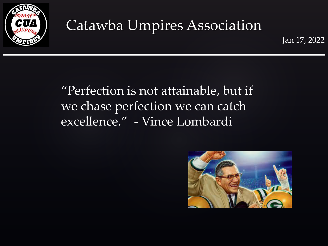

Jan 17, 2022

#### "Perfection is not attainable, but if we chase perfection we can catch excellence." - Vince Lombardi

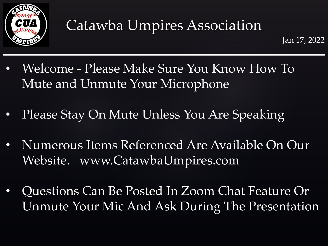

- Welcome Please Make Sure You Know How To Mute and Unmute Your Microphone
- Please Stay On Mute Unless You Are Speaking
- Numerous Items Referenced Are Available On Our Website. www.CatawbaUmpires.com
- Questions Can Be Posted In Zoom Chat Feature Or Unmute Your Mic And Ask During The Presentation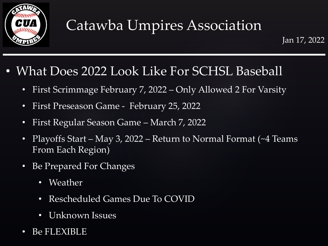

#### • What Does 2022 Look Like For SCHSL Baseball

- First Scrimmage February 7, 2022 Only Allowed 2 For Varsity
- First Preseason Game February 25, 2022
- First Regular Season Game March 7, 2022
- Playoffs Start May 3, 2022 Return to Normal Format (~4 Teams From Each Region)
- Be Prepared For Changes
	- Weather
	- Rescheduled Games Due To COVID
	- Unknown Issues
- Be FLEXIBLE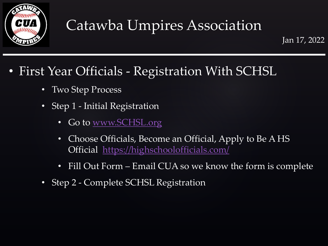

#### • First Year Officials - Registration With SCHSL

- Two Step Process
- Step 1 Initial Registration
	- Go to [www.SCHSL.org](http://www.schsl.org/)
	- Choose Officials, Become an Official, Apply to Be A HS Official <https://highschoolofficials.com/>
	- Fill Out Form Email CUA so we know the form is complete
- Step 2 Complete SCHSL Registration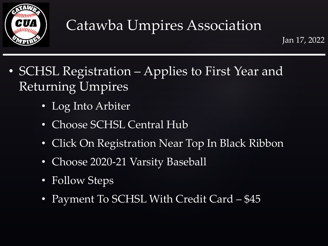

- SCHSL Registration Applies to First Year and Returning Umpires
	- Log Into Arbiter
	- Choose SCHSL Central Hub
	- Click On Registration Near Top In Black Ribbon
	- Choose 2020-21 Varsity Baseball
	- Follow Steps
	- Payment To SCHSL With Credit Card \$45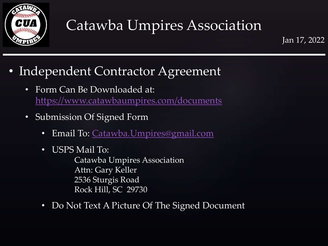

Jan 17, 2022

- Independent Contractor Agreement
	- Form Can Be Downloaded at: <https://www.catawbaumpires.com/documents>
	- Submission Of Signed Form
		- Email To: [Catawba.Umpires@gmail.com](mailto:Catawba.Umpires@gmail.com)
		- USPS Mail To:

Catawba Umpires Association Attn: Gary Keller 2536 Sturgis Road Rock Hill, SC 29730

• Do Not Text A Picture Of The Signed Document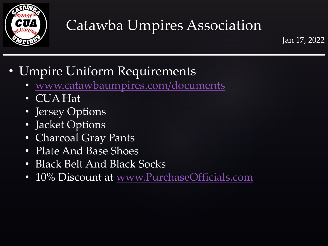

Jan 17, 2022

#### • Umpire Uniform Requirements

- [www.catawbaumpires.com/documents](http://www.catawbaumpires.com/documents)
- CUA Hat
- Jersey Options
- Jacket Options
- Charcoal Gray Pants
- Plate And Base Shoes
- Black Belt And Black Socks
- 10% Discount at [www.PurchaseOfficials.com](http://www.purchaseofficials.com/)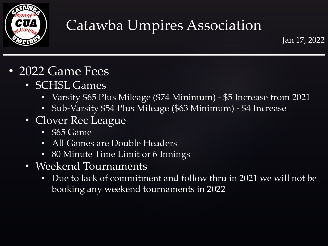

- 2022 Game Fees
	- SCHSL Games
		- Varsity \$65 Plus Mileage (\$74 Minimum) \$5 Increase from 2021
		- Sub-Varsity \$54 Plus Mileage (\$63 Minimum) \$4 Increase
	- Clover Rec League
		- \$65 Game
		- All Games are Double Headers
		- 80 Minute Time Limit or 6 Innings
	- Weekend Tournaments
		- Due to lack of commitment and follow thru in 2021 we will not be booking any weekend tournaments in 2022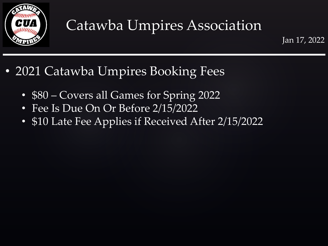

Jan 17, 2022

#### • 2021 Catawba Umpires Booking Fees

- \$80 Covers all Games for Spring 2022
- Fee Is Due On Or Before 2/15/2022
- \$10 Late Fee Applies if Received After 2/15/2022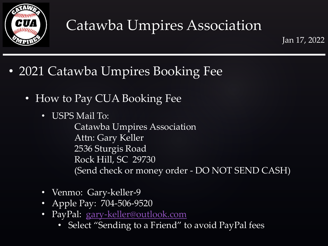

Jan 17, 2022

- 2021 Catawba Umpires Booking Fee
	- How to Pay CUA Booking Fee
		- USPS Mail To:

Catawba Umpires Association Attn: Gary Keller 2536 Sturgis Road Rock Hill, SC 29730 (Send check or money order - DO NOT SEND CASH)

- Venmo: Gary-keller-9
- Apple Pay: 704-506-9520
- PayPal: [gary-keller@outlook.com](mailto:gary-keller@outlook.com)
	- Select "Sending to a Friend" to avoid PayPal fees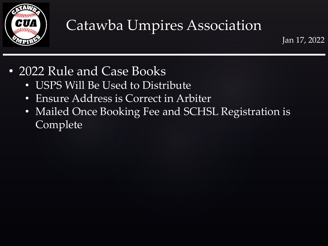

- 2022 Rule and Case Books
	- USPS Will Be Used to Distribute
	- Ensure Address is Correct in Arbiter
	- Mailed Once Booking Fee and SCHSL Registration is Complete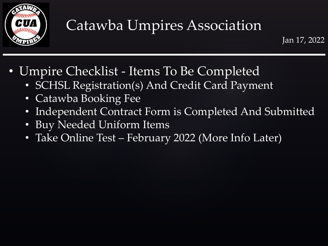

- Umpire Checklist Items To Be Completed
	- SCHSL Registration(s) And Credit Card Payment
	- Catawba Booking Fee
	- Independent Contract Form is Completed And Submitted
	- Buy Needed Uniform Items
	- Take Online Test February 2022 (More Info Later)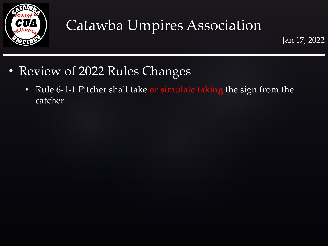

- Review of 2022 Rules Changes
	- Rule 6-1-1 Pitcher shall take or simulate taking the sign from the catcher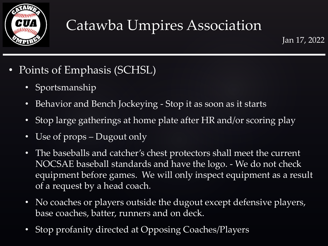

- Points of Emphasis (SCHSL)
	- Sportsmanship
	- Behavior and Bench Jockeying Stop it as soon as it starts
	- Stop large gatherings at home plate after HR and/or scoring play
	- Use of props Dugout only
	- The baseballs and catcher's chest protectors shall meet the current NOCSAE baseball standards and have the logo. - We do not check equipment before games. We will only inspect equipment as a result of a request by a head coach.
	- No coaches or players outside the dugout except defensive players, base coaches, batter, runners and on deck.
	- Stop profanity directed at Opposing Coaches/Players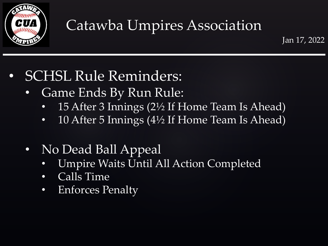

- SCHSL Rule Reminders:
	- Game Ends By Run Rule:
		- 15 After 3 Innings (2½ If Home Team Is Ahead)
		- 10 After 5 Innings (4½ If Home Team Is Ahead)
	- No Dead Ball Appeal
		- Umpire Waits Until All Action Completed
		- Calls Time
		- Enforces Penalty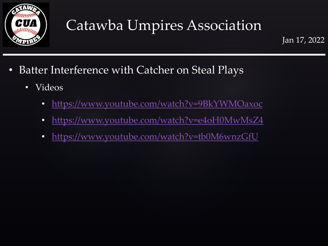

- Batter Interference with Catcher on Steal Plays
	- Videos
		- <https://www.youtube.com/watch?v=9BkYWMOaxoc>
		- <https://www.youtube.com/watch?v=e4oH0MwMsZ4>
		- <https://www.youtube.com/watch?v=tb0M6wnzGfU>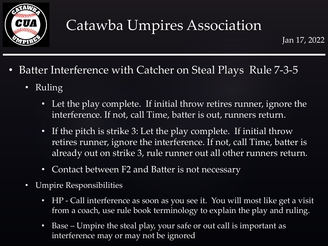

- Batter Interference with Catcher on Steal Plays Rule 7-3-5
	- Ruling
		- Let the play complete. If initial throw retires runner, ignore the interference. If not, call Time, batter is out, runners return.
		- If the pitch is strike 3: Let the play complete. If initial throw retires runner, ignore the interference. If not, call Time, batter is already out on strike 3, rule runner out all other runners return.
		- Contact between F2 and Batter is not necessary
	- Umpire Responsibilities
		- HP Call interference as soon as you see it. You will most like get a visit from a coach, use rule book terminology to explain the play and ruling.
		- Base Umpire the steal play, your safe or out call is important as interference may or may not be ignored